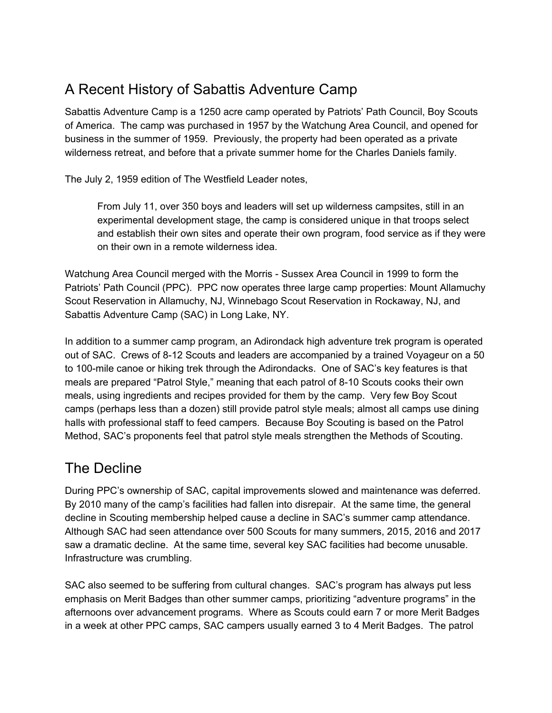## A Recent History of Sabattis Adventure Camp

Sabattis Adventure Camp is a 1250 acre camp operated by Patriots' Path Council, Boy Scouts of America. The camp was purchased in 1957 by the Watchung Area Council, and opened for business in the summer of 1959. Previously, the property had been operated as a private wilderness retreat, and before that a private summer home for the Charles Daniels family.

The July 2, 1959 edition of The Westfield Leader notes,

From July 11, over 350 boys and leaders will set up wilderness campsites, still in an experimental development stage, the camp is considered unique in that troops select and establish their own sites and operate their own program, food service as if they were on their own in a remote wilderness idea.

Watchung Area Council merged with the Morris - Sussex Area Council in 1999 to form the Patriots' Path Council (PPC). PPC now operates three large camp properties: Mount Allamuchy Scout Reservation in Allamuchy, NJ, Winnebago Scout Reservation in Rockaway, NJ, and Sabattis Adventure Camp (SAC) in Long Lake, NY.

In addition to a summer camp program, an Adirondack high adventure trek program is operated out of SAC. Crews of 8-12 Scouts and leaders are accompanied by a trained Voyageur on a 50 to 100-mile canoe or hiking trek through the Adirondacks. One of SAC's key features is that meals are prepared "Patrol Style," meaning that each patrol of 8-10 Scouts cooks their own meals, using ingredients and recipes provided for them by the camp. Very few Boy Scout camps (perhaps less than a dozen) still provide patrol style meals; almost all camps use dining halls with professional staff to feed campers. Because Boy Scouting is based on the Patrol Method, SAC's proponents feel that patrol style meals strengthen the Methods of Scouting.

#### The Decline

During PPC's ownership of SAC, capital improvements slowed and maintenance was deferred. By 2010 many of the camp's facilities had fallen into disrepair. At the same time, the general decline in Scouting membership helped cause a decline in SAC's summer camp attendance. Although SAC had seen attendance over 500 Scouts for many summers, 2015, 2016 and 2017 saw a dramatic decline. At the same time, several key SAC facilities had become unusable. Infrastructure was crumbling.

SAC also seemed to be suffering from cultural changes. SAC's program has always put less emphasis on Merit Badges than other summer camps, prioritizing "adventure programs" in the afternoons over advancement programs. Where as Scouts could earn 7 or more Merit Badges in a week at other PPC camps, SAC campers usually earned 3 to 4 Merit Badges. The patrol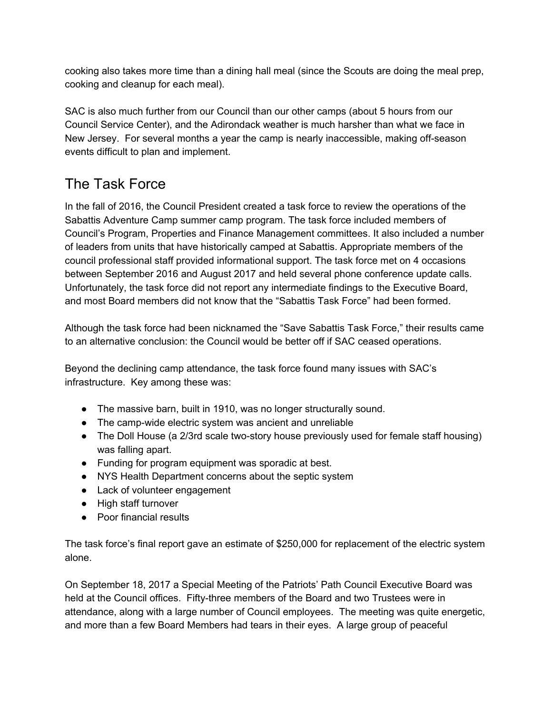cooking also takes more time than a dining hall meal (since the Scouts are doing the meal prep, cooking and cleanup for each meal).

SAC is also much further from our Council than our other camps (about 5 hours from our Council Service Center), and the Adirondack weather is much harsher than what we face in New Jersey. For several months a year the camp is nearly inaccessible, making off-season events difficult to plan and implement.

# The Task Force

In the fall of 2016, the Council President created a task force to review the operations of the Sabattis Adventure Camp summer camp program. The task force included members of Council's Program, Properties and Finance Management committees. It also included a number of leaders from units that have historically camped at Sabattis. Appropriate members of the council professional staff provided informational support. The task force met on 4 occasions between September 2016 and August 2017 and held several phone conference update calls. Unfortunately, the task force did not report any intermediate findings to the Executive Board, and most Board members did not know that the "Sabattis Task Force" had been formed.

Although the task force had been nicknamed the "Save Sabattis Task Force," their results came to an alternative conclusion: the Council would be better off if SAC ceased operations.

Beyond the declining camp attendance, the task force found many issues with SAC's infrastructure. Key among these was:

- The massive barn, built in 1910, was no longer structurally sound.
- The camp-wide electric system was ancient and unreliable
- The Doll House (a 2/3rd scale two-story house previously used for female staff housing) was falling apart.
- Funding for program equipment was sporadic at best.
- NYS Health Department concerns about the septic system
- Lack of volunteer engagement
- High staff turnover
- Poor financial results

The task force's final report gave an estimate of \$250,000 for replacement of the electric system alone.

On September 18, 2017 a Special Meeting of the Patriots' Path Council Executive Board was held at the Council offices. Fifty-three members of the Board and two Trustees were in attendance, along with a large number of Council employees. The meeting was quite energetic, and more than a few Board Members had tears in their eyes. A large group of peaceful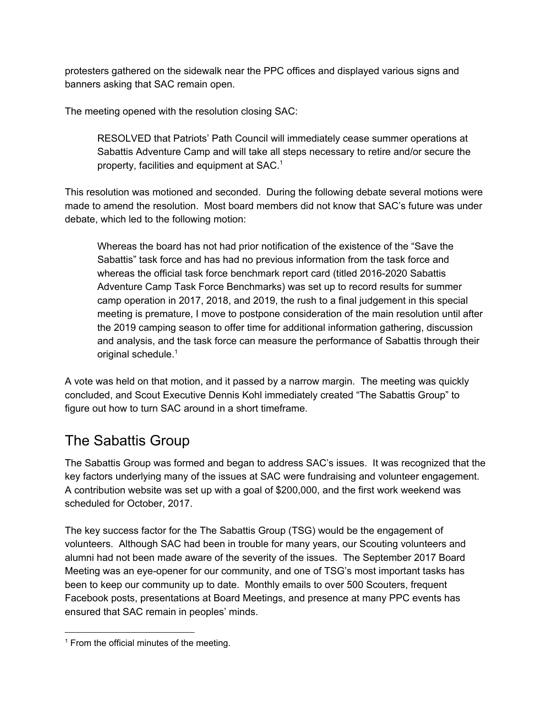protesters gathered on the sidewalk near the PPC offices and displayed various signs and banners asking that SAC remain open.

The meeting opened with the resolution closing SAC:

RESOLVED that Patriots' Path Council will immediately cease summer operations at Sabattis Adventure Camp and will take all steps necessary to retire and/or secure the property, facilities and equipment at SAC. 1

This resolution was motioned and seconded. During the following debate several motions were made to amend the resolution. Most board members did not know that SAC's future was under debate, which led to the following motion:

Whereas the board has not had prior notification of the existence of the "Save the Sabattis" task force and has had no previous information from the task force and whereas the official task force benchmark report card (titled 2016-2020 Sabattis Adventure Camp Task Force Benchmarks) was set up to record results for summer camp operation in 2017, 2018, and 2019, the rush to a final judgement in this special meeting is premature, I move to postpone consideration of the main resolution until after the 2019 camping season to offer time for additional information gathering, discussion and analysis, and the task force can measure the performance of Sabattis through their original schedule.<sup>1</sup>

A vote was held on that motion, and it passed by a narrow margin. The meeting was quickly concluded, and Scout Executive Dennis Kohl immediately created "The Sabattis Group" to figure out how to turn SAC around in a short timeframe.

## The Sabattis Group

The Sabattis Group was formed and began to address SAC's issues. It was recognized that the key factors underlying many of the issues at SAC were fundraising and volunteer engagement. A contribution website was set up with a goal of \$200,000, and the first work weekend was scheduled for October, 2017.

The key success factor for the The Sabattis Group (TSG) would be the engagement of volunteers. Although SAC had been in trouble for many years, our Scouting volunteers and alumni had not been made aware of the severity of the issues. The September 2017 Board Meeting was an eye-opener for our community, and one of TSG's most important tasks has been to keep our community up to date. Monthly emails to over 500 Scouters, frequent Facebook posts, presentations at Board Meetings, and presence at many PPC events has ensured that SAC remain in peoples' minds.

<sup>&</sup>lt;sup>1</sup> From the official minutes of the meeting.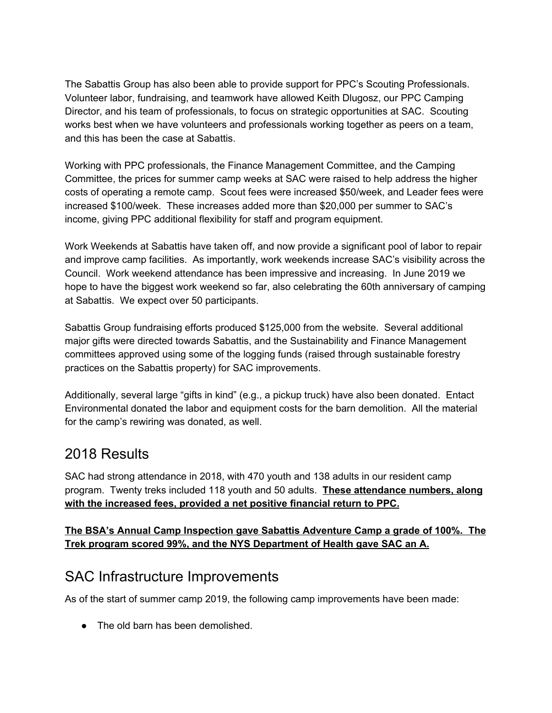The Sabattis Group has also been able to provide support for PPC's Scouting Professionals. Volunteer labor, fundraising, and teamwork have allowed Keith Dlugosz, our PPC Camping Director, and his team of professionals, to focus on strategic opportunities at SAC. Scouting works best when we have volunteers and professionals working together as peers on a team, and this has been the case at Sabattis.

Working with PPC professionals, the Finance Management Committee, and the Camping Committee, the prices for summer camp weeks at SAC were raised to help address the higher costs of operating a remote camp. Scout fees were increased \$50/week, and Leader fees were increased \$100/week. These increases added more than \$20,000 per summer to SAC's income, giving PPC additional flexibility for staff and program equipment.

Work Weekends at Sabattis have taken off, and now provide a significant pool of labor to repair and improve camp facilities. As importantly, work weekends increase SAC's visibility across the Council. Work weekend attendance has been impressive and increasing. In June 2019 we hope to have the biggest work weekend so far, also celebrating the 60th anniversary of camping at Sabattis. We expect over 50 participants.

Sabattis Group fundraising efforts produced \$125,000 from the website. Several additional major gifts were directed towards Sabattis, and the Sustainability and Finance Management committees approved using some of the logging funds (raised through sustainable forestry practices on the Sabattis property) for SAC improvements.

Additionally, several large "gifts in kind" (e.g., a pickup truck) have also been donated. Entact Environmental donated the labor and equipment costs for the barn demolition. All the material for the camp's rewiring was donated, as well.

#### 2018 Results

SAC had strong attendance in 2018, with 470 youth and 138 adults in our resident camp program. Twenty treks included 118 youth and 50 adults. **These attendance numbers, along with the increased fees, provided a net positive financial return to PPC.**

**The BSA's Annual Camp Inspection gave Sabattis Adventure Camp a grade of 100%. The Trek program scored 99%, and the NYS Department of Health gave SAC an A.**

## SAC Infrastructure Improvements

As of the start of summer camp 2019, the following camp improvements have been made:

● The old barn has been demolished.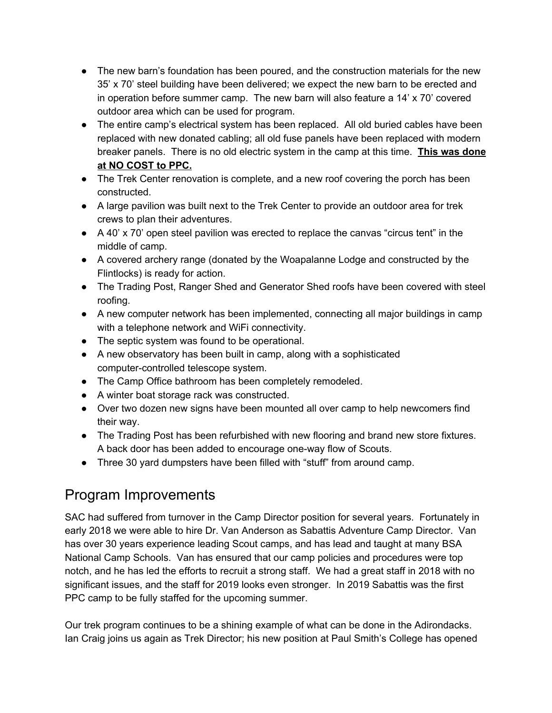- The new barn's foundation has been poured, and the construction materials for the new 35' x 70' steel building have been delivered; we expect the new barn to be erected and in operation before summer camp. The new barn will also feature a 14' x 70' covered outdoor area which can be used for program.
- The entire camp's electrical system has been replaced. All old buried cables have been replaced with new donated cabling; all old fuse panels have been replaced with modern breaker panels. There is no old electric system in the camp at this time. **This was done at NO COST to PPC.**
- The Trek Center renovation is complete, and a new roof covering the porch has been constructed.
- A large pavilion was built next to the Trek Center to provide an outdoor area for trek crews to plan their adventures.
- A 40' x 70' open steel pavilion was erected to replace the canvas "circus tent" in the middle of camp.
- A covered archery range (donated by the Woapalanne Lodge and constructed by the Flintlocks) is ready for action.
- The Trading Post, Ranger Shed and Generator Shed roofs have been covered with steel roofing.
- A new computer network has been implemented, connecting all major buildings in camp with a telephone network and WiFi connectivity.
- The septic system was found to be operational.
- A new observatory has been built in camp, along with a sophisticated computer-controlled telescope system.
- The Camp Office bathroom has been completely remodeled.
- A winter boat storage rack was constructed.
- Over two dozen new signs have been mounted all over camp to help newcomers find their way.
- The Trading Post has been refurbished with new flooring and brand new store fixtures. A back door has been added to encourage one-way flow of Scouts.
- Three 30 yard dumpsters have been filled with "stuff" from around camp.

## Program Improvements

SAC had suffered from turnover in the Camp Director position for several years. Fortunately in early 2018 we were able to hire Dr. Van Anderson as Sabattis Adventure Camp Director. Van has over 30 years experience leading Scout camps, and has lead and taught at many BSA National Camp Schools. Van has ensured that our camp policies and procedures were top notch, and he has led the efforts to recruit a strong staff. We had a great staff in 2018 with no significant issues, and the staff for 2019 looks even stronger. In 2019 Sabattis was the first PPC camp to be fully staffed for the upcoming summer.

Our trek program continues to be a shining example of what can be done in the Adirondacks. Ian Craig joins us again as Trek Director; his new position at Paul Smith's College has opened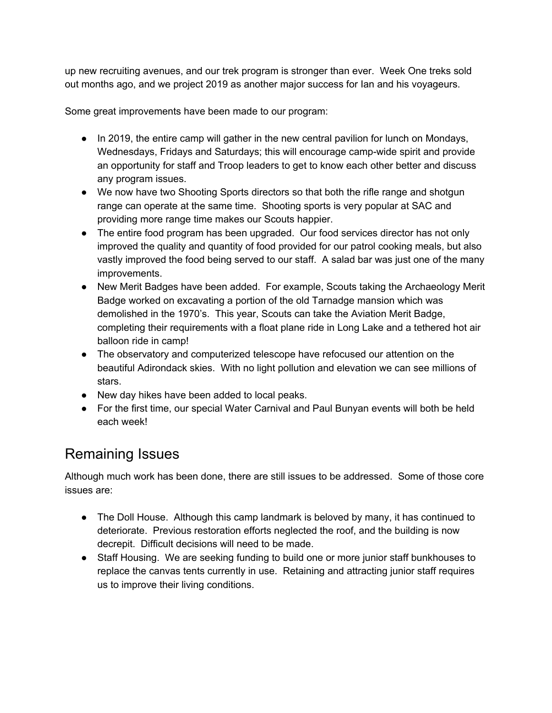up new recruiting avenues, and our trek program is stronger than ever. Week One treks sold out months ago, and we project 2019 as another major success for Ian and his voyageurs.

Some great improvements have been made to our program:

- In 2019, the entire camp will gather in the new central pavilion for lunch on Mondays, Wednesdays, Fridays and Saturdays; this will encourage camp-wide spirit and provide an opportunity for staff and Troop leaders to get to know each other better and discuss any program issues.
- We now have two Shooting Sports directors so that both the rifle range and shotgun range can operate at the same time. Shooting sports is very popular at SAC and providing more range time makes our Scouts happier.
- The entire food program has been upgraded. Our food services director has not only improved the quality and quantity of food provided for our patrol cooking meals, but also vastly improved the food being served to our staff. A salad bar was just one of the many improvements.
- New Merit Badges have been added. For example, Scouts taking the Archaeology Merit Badge worked on excavating a portion of the old Tarnadge mansion which was demolished in the 1970's. This year, Scouts can take the Aviation Merit Badge, completing their requirements with a float plane ride in Long Lake and a tethered hot air balloon ride in camp!
- The observatory and computerized telescope have refocused our attention on the beautiful Adirondack skies. With no light pollution and elevation we can see millions of stars.
- New day hikes have been added to local peaks.
- For the first time, our special Water Carnival and Paul Bunyan events will both be held each week!

## Remaining Issues

Although much work has been done, there are still issues to be addressed. Some of those core issues are:

- The Doll House. Although this camp landmark is beloved by many, it has continued to deteriorate. Previous restoration efforts neglected the roof, and the building is now decrepit. Difficult decisions will need to be made.
- Staff Housing. We are seeking funding to build one or more junior staff bunkhouses to replace the canvas tents currently in use. Retaining and attracting junior staff requires us to improve their living conditions.